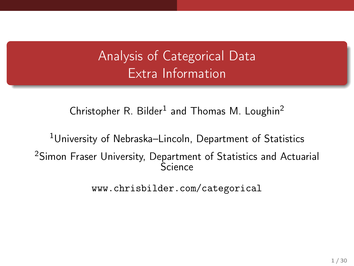# Analysis of Categorical Data Extra Information

Christopher R. Bilder<sup>1</sup> and Thomas M. Loughin<sup>2</sup>

<sup>1</sup>University of Nebraska–Lincoln, Department of Statistics <sup>2</sup>Simon Fraser University, Department of Statistics and Actuarial **Science** 

<www.chrisbilder.com/categorical>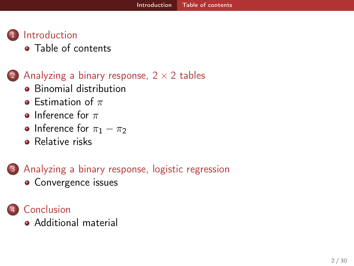# <span id="page-1-0"></span>**[Introduction](#page-1-0)**

• [Table of contents](#page-1-0)

## (2) Analyzing a binary response,  $2 \times 2$  tables

- **•** [Binomial distribution](#page-3-0)
- **•** [Estimation of](#page-4-0)  $\pi$
- [Inference for](#page-6-0)  $\pi$
- [Inference for](#page-11-0)  $\pi_1 \pi_2$
- **•** [Relative risks](#page-18-0)

## 3 [Analyzing a binary response, logistic regression](#page-23-0) **•** [Convergence issues](#page-24-0)



[Additional material](#page-28-0)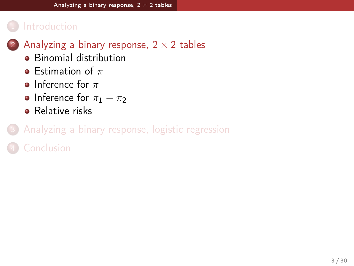## <span id="page-2-0"></span>**[Introduction](#page-1-0)**

- (2) Analyzing a binary response,  $2 \times 2$  tables
	- [Binomial distribution](#page-3-0)
	- **•** [Estimation of](#page-4-0)  $\pi$
	- [Inference for](#page-6-0)  $\pi$
	- [Inference for](#page-11-0)  $\pi_1 \pi_2$
	- **•** [Relative risks](#page-18-0)

# [Analyzing a binary response, logistic regression](#page-23-0)

**[Conclusion](#page-28-0)**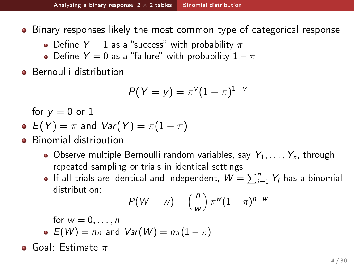<span id="page-3-0"></span>• Binary responses likely the most common type of categorical response

- Define  $Y = 1$  as a "success" with probability  $\pi$
- Define  $Y = 0$  as a "failure" with probability  $1 \pi$
- **•** Bernoulli distribution

$$
P(Y = y) = \pi^{y}(1 - \pi)^{1 - y}
$$

for  $y = 0$  or 1

• 
$$
E(Y) = \pi
$$
 and  $Var(Y) = \pi(1 - \pi)$ 

- Binomial distribution
	- Observe multiple Bernoulli random variables, say  $Y_1, \ldots, Y_n$ , through repeated sampling or trials in identical settings
	- If all trials are identical and independent,  $\mathbf{W} = \sum_{i=1}^n Y_i$  has a binomial distribution:

$$
P(W = w) = {n \choose w} \pi^w (1 - \pi)^{n - w}
$$

for  $w = 0, \ldots, n$ •  $E(W) = n\pi$  and  $Var(W) = n\pi(1 - \pi)$ 

**o** Goal: Estimate  $\pi$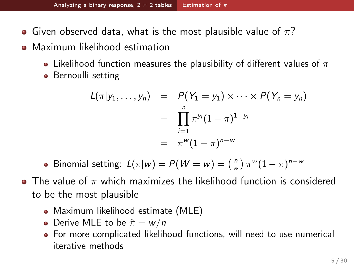- <span id="page-4-0"></span>• Given observed data, what is the most plausible value of  $\pi$ ?
- Maximum likelihood estimation
	- Likelihood function measures the plausibility of different values of  $\pi$
	- Bernoulli setting

$$
L(\pi|y_1,\ldots,y_n) = P(Y_1 = y_1) \times \cdots \times P(Y_n = y_n)
$$
  
= 
$$
\prod_{i=1}^n \pi^{y_i} (1-\pi)^{1-y_i}
$$
  
= 
$$
\pi^w (1-\pi)^{n-w}
$$

Binomial setting:  $L(\pi | w) = P(W = w) = \binom{n}{w} \pi^w (1 - \pi)^{n - w}$ 

- The value of  $\pi$  which maximizes the likelihood function is considered to be the most plausible
	- Maximum likelihood estimate (MLE)
	- Derive MLE to be  $\hat{\pi} = w/n$
	- For more complicated likelihood functions, will need to use numerical iterative methods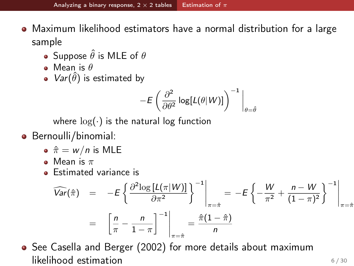- <span id="page-5-0"></span>Maximum likelihood estimators have a normal distribution for a large sample
	- Suppose  $\hat{\theta}$  is MLE of  $\theta$
	- $\bullet$  Mean is  $\theta$
	- $Var(\hat{\theta})$  is estimated by

$$
-E\left(\frac{\partial^2}{\partial\theta^2}\log[L(\theta|W)]\right)^{-1}\bigg|_{\theta=\hat{\theta}}
$$

where  $log(·)$  is the natural log function

- **Bernoulli/binomial:** 
	- $\hat{\pi} = w/n$  is MLE
	- Mean is  $\pi$
	- **Estimated variance is**

$$
\widehat{Var}(\hat{\pi}) = -E\left\{\frac{\partial^2 \log \left[L(\pi|W)\right]}{\partial \pi^2}\right\}^{-1}\Big|_{\pi=\hat{\pi}} = -E\left\{-\frac{W}{\pi^2} + \frac{n-W}{(1-\pi)^2}\right\}^{-1}\Big|_{\pi=\hat{\pi}}
$$
\n
$$
= \left[\frac{n}{\pi} - \frac{n}{1-\pi}\right]^{-1}\Big|_{\pi=\hat{\pi}} = \frac{\hat{\pi}(1-\hat{\pi})}{n}
$$

• See Casella and Berger (2002) for more details about maximum  $\mathsf{likelihood}\ \mathsf{estimation}$  6/30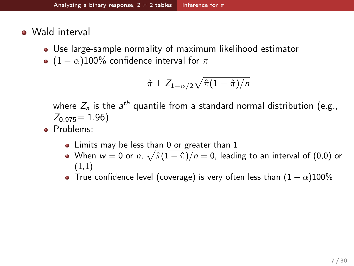- <span id="page-6-0"></span>• Wald interval
	- Use large-sample normality of maximum likelihood estimator
	- $(1 \alpha)100\%$  confidence interval for  $\pi$

$$
\hat{\pi} \pm Z_{1-\alpha/2} \sqrt{\hat{\pi}(1-\hat{\pi})/n}
$$

where  $Z_{\mathsf{a}}$  is the  $\mathsf{a}^{th}$  quantile from a standard normal distribution (e.g.,  $Z_{0.975} = 1.96$ 

- Problems:
	- Limits may be less than 0 or greater than 1
	- When  $w=0$  or  $n, \ \sqrt{\hat{\pi}(1-\hat{\pi})/n}=0,$  leading to an interval of  $(0,0)$  or (1,1)
	- True confidence level (coverage) is very often less than  $(1 − \alpha)100\%$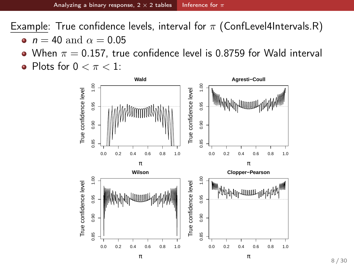<span id="page-7-0"></span>Example: True confidence levels, interval for  $\pi$  (ConfLevel4Intervals.R)

- $n = 40$  and  $\alpha = 0.05$
- When  $\pi = 0.157$ , true confidence level is 0.8759 for Wald interval
- Plots for  $0 < \pi < 1$ :

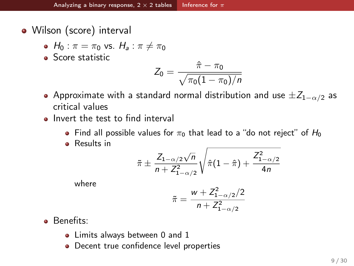<span id="page-8-0"></span>• Wilson (score) interval

• 
$$
H_0: \pi = \pi_0
$$
 vs.  $H_a: \pi \neq \pi_0$ 

**Score statistic** 

$$
Z_0 = \frac{\hat{\pi} - \pi_0}{\sqrt{\pi_0 (1 - \pi_0)/n}}
$$

- Approximate with a standard normal distribution and use  $\pm Z_{1-\alpha/2}$  as critical values
- Invert the test to find interval
	- Find all possible values for  $\pi_0$  that lead to a "do not reject" of  $H_0$
	- **•** Results in

$$
\tilde{\pi} \pm \frac{Z_{1-\alpha/2}\sqrt{n}}{n+Z_{1-\alpha/2}^2}\sqrt{\hat{\pi}(1-\hat{\pi})+\frac{Z_{1-\alpha/2}^2}{4n}}
$$

where

$$
\tilde{\pi} = \frac{w + Z_{1-\alpha/2}^2/2}{n + Z_{1-\alpha/2}^2}
$$

**Benefits:** 

- Limits always between 0 and 1
- **•** Decent true confidence level properties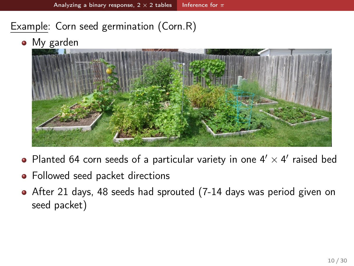## <span id="page-9-0"></span>Example: Corn seed germination (Corn.R)

• My garden



- Planted 64 corn seeds of a particular variety in one  $4' \times 4'$  raised bed
- Followed seed packet directions
- After 21 days, 48 seeds had sprouted (7-14 days was period given on seed packet)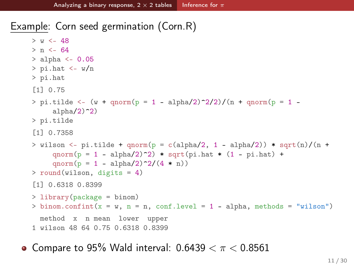<span id="page-10-0"></span>Example: Corn seed germination (Corn.R)

```
> w < -48> n < -64> alpha <- 0.05
> pi.hat < -w/n> pi.hat
[1] 0.75
> pi.tilde <- (w + qnorm(p = 1 - alpha/2)^2/2)/(n + qnorm(p = 1 -
     alpha(2)2)> pi.tilde
[1] 0.7358
> wilson \leq- pi.tilde + qnorm(p = c(alpha/2, 1 - alpha/2)) * sqrt(n)/(n +
     qnorm(p = 1 - alpha/2)^2) * sqrt(pi.hat * (1 - pi.hat) +
     qnorm(p = 1 - alpha/2)^2/(4 * n))
> round(wilson, digits = 4)
[1] 0.6318 0.8399
> library(package = binom)
> binom.confint(x = w, n = n, conf.level = 1 - alpha, methods = "wilson")
 method x n mean lower upper
1 wilson 48 64 0.75 0.6318 0.8399
```
• Compare to 95% Wald interval:  $0.6439 < \pi < 0.8561$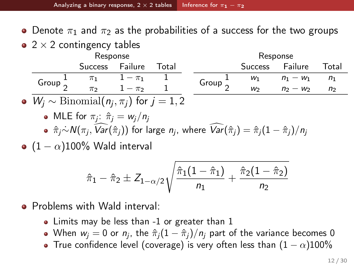<span id="page-11-0"></span>• Denote  $\pi_1$  and  $\pi_2$  as the probabilities of a success for the two groups

 $\bullet$  2  $\times$  2 contingency tables

|                                                         | Response                                    |                 |                     |       | Response            |         |             |                |  |
|---------------------------------------------------------|---------------------------------------------|-----------------|---------------------|-------|---------------------|---------|-------------|----------------|--|
|                                                         |                                             | Success Failure |                     | Total |                     | Success | Failure     | Total          |  |
|                                                         | Group $\frac{1}{2}$                         |                 | $\pi_1$ $1 - \pi_1$ |       | Group $\frac{1}{2}$ | $W_1$   | $n_1 - w_1$ | $n_1$          |  |
|                                                         |                                             | $\pi$           | $1 - \pi$           |       |                     | $W_2$   | $n_2 - w_2$ | n <sub>2</sub> |  |
| • $W_i \sim \text{Binomial}(n_i, \pi_i)$ for $j = 1, 2$ |                                             |                 |                     |       |                     |         |             |                |  |
|                                                         | • MLE for $\pi_i$ : $\hat{\pi}_i = w_i/n_i$ |                 |                     |       |                     |         |             |                |  |

 $\hat{\pi}_j$ ∼́ $\mathcal{N}(\pi_j, \text{Var}(\hat{\pi}_j))$  for large  $n_j$ , where  $\text{Var}(\hat{\pi}_j) = \hat{\pi}_j(1 - \hat{\pi}_j)/n_j$ 

 $\bullet$  (1 –  $\alpha$ )100% Wald interval

$$
\hat{\pi}_1 - \hat{\pi}_2 \pm Z_{1-\alpha/2} \sqrt{\frac{\hat{\pi}_1(1-\hat{\pi}_1)}{n_1} + \frac{\hat{\pi}_2(1-\hat{\pi}_2)}{n_2}}
$$

• Problems with Wald interval:

- Limits may be less than -1 or greater than 1
- When  $w_j = 0$  or  $n_j$ , the  $\hat{\pi}_j(1 \hat{\pi}_j)/n_j$  part of the variance becomes 0
- True confidence level (coverage) is very often less than  $(1 \alpha)100\%$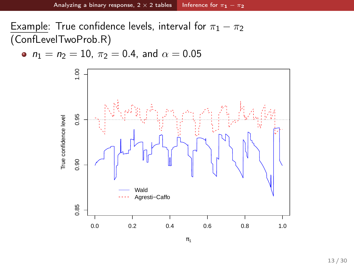<span id="page-12-0"></span>Example: True confidence levels, interval for  $\pi_1 - \pi_2$ (ConfLevelTwoProb.R)

• 
$$
n_1 = n_2 = 10
$$
,  $\pi_2 = 0.4$ , and  $\alpha = 0.05$ 

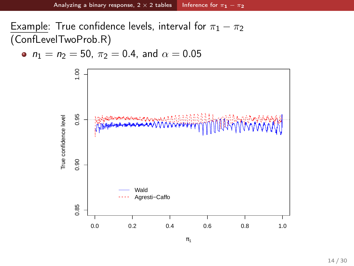<span id="page-13-0"></span>Example: True confidence levels, interval for  $\pi_1 - \pi_2$ (ConfLevelTwoProb.R)

• 
$$
n_1 = n_2 = 50
$$
,  $\pi_2 = 0.4$ , and  $\alpha = 0.05$ 

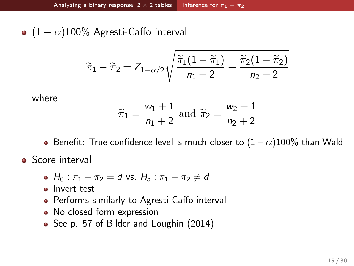<span id="page-14-0"></span>•  $(1 - \alpha)100\%$  Agresti-Caffo interval

$$
\widetilde{\pi}_1 - \widetilde{\pi}_2 \pm Z_{1-\alpha/2} \sqrt{\frac{\widetilde{\pi}_1(1-\widetilde{\pi}_1)}{n_1+2} + \frac{\widetilde{\pi}_2(1-\widetilde{\pi}_2)}{n_2+2}}
$$

where

$$
\widetilde{\pi}_1 = \frac{w_1 + 1}{n_1 + 2}
$$
 and  $\widetilde{\pi}_2 = \frac{w_2 + 1}{n_2 + 2}$ 

- Benefit: True confidence level is much closer to  $(1-\alpha)100\%$  than Wald
- **•** Score interval
	- $H_0: \pi_1 \pi_2 = d$  vs.  $H_a: \pi_1 \pi_2 \neq d$
	- Invert test
	- Performs similarly to Agresti-Caffo interval
	- No closed form expression
	- See p. 57 of Bilder and Loughin (2014)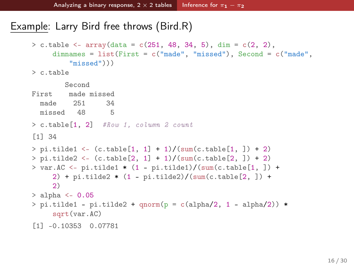#### <span id="page-15-0"></span>Example: Larry Bird free throws (Bird.R)

```
> c.table \leq array(data = c(251, 48, 34, 5), dim = c(2, 2),
     dimnames = list(First = c("made", "missed"), Second = c("made",
        "missed")))
> c.table
        Second
First made missed
 made 251 34
 missed 48 5
> c.table[1, 2] #Row 1, column 2 count
[1] 34
> pi.title1 < - (c.table[1, 1] + 1) / (sum(c.table[1, ]) + 2)> pi.title2 < - (c.title[2, 1] + 1) / (sum(c.title[2, 1) + 2)> var.AC \le- pi.tilde1 * (1 - pi.tilde1)/(sum(c.table[1, ]) +
     2) + pi.tilde2 * (1 - pi.tilde2)/(sum(c.table[2, ]) +
     2)
> alpha <-0.05> pi.title1 - pi.title2 + qnorm(p = c(alpha/2, 1 - alpha/2)) *sqrt(var.AC)
[1] -0.10353 0.07781
```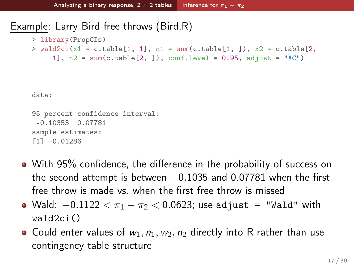#### <span id="page-16-0"></span>Example: Larry Bird free throws (Bird.R)

- > library(PropCIs)
- $>$  wald2ci(x1 = c.table[1, 1], n1 = sum(c.table[1, ]), x2 = c.table[2, 1],  $n2 = sum(c.\text{table}[2, ])$ ,  $conf.\text{level} = 0.95$ ,  $adjust = "AC")$

data:

```
95 percent confidence interval:
-0.10353 0.07781
sample estimates:
[1] -0.01286
```
- With 95% confidence, the difference in the probability of success on the second attempt is between  $-0.1035$  and 0.07781 when the first free throw is made vs. when the first free throw is missed
- Wald:  $-0.1122 < \pi_1 \pi_2 < 0.0623$ ; use adjust = "Wald" with wald2ci()
- Could enter values of  $w_1$ ,  $n_1$ ,  $w_2$ ,  $n_2$  directly into R rather than use contingency table structure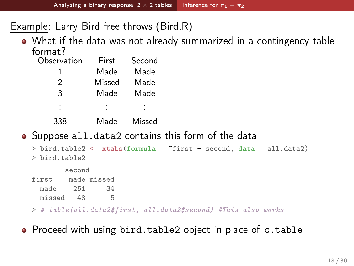<span id="page-17-0"></span>Example: Larry Bird free throws (Bird.R)

What if the data was not already summarized in a contingency table format?

| Observation | First  | Second |  |  |
|-------------|--------|--------|--|--|
|             | Made   | Made   |  |  |
| 2           | Missed | Made   |  |  |
| 3           | Made   | Made   |  |  |
|             |        |        |  |  |
| 338         | Made   | Missed |  |  |

#### ● Suppose all.data2 contains this form of the data

```
> bird.table2 <- xtabs(formula = ~first + second, data = all.data2)
> bird.table2
        second
first made missed<br>made 251 34
  made
  missed 48 5
> # table(all.data2$first, all.data2$second) #This also works
```
• Proceed with using bird.table2 object in place of c.table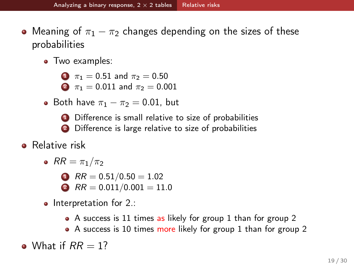- <span id="page-18-0"></span>• Meaning of  $\pi_1 - \pi_2$  changes depending on the sizes of these probabilities
	- Two examples:
		- $\Omega$   $\pi_1 = 0.51$  and  $\pi_2 = 0.50$
		- 2  $\pi_1 = 0.011$  and  $\pi_2 = 0.001$
	- Both have  $\pi_1 \pi_2 = 0.01$ , but
		- **1** Difference is small relative to size of probabilities
		- 2 Difference is large relative to size of probabilities
- **•** Relative risk
	- $RR = \pi_1/\pi_2$ 
		- $\bullet$  RR = 0.51/0.50 = 1.02
		- 2  $RR = 0.011/0.001 = 11.0$
	- $\bullet$  Interpretation for 2.:
		- A success is 11 times as likely for group 1 than for group 2
		- A success is 10 times more likely for group 1 than for group 2

• What if  $RR = 1$ ?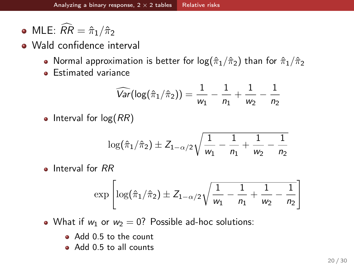- <span id="page-19-0"></span>• MLE:  $\widehat{RR} = \hat{\pi}_1/\hat{\pi}_2$
- Wald confidence interval
	- Normal approximation is better for  $log(\hat{\pi}_1/\hat{\pi}_2)$  than for  $\hat{\pi}_1/\hat{\pi}_2$
	- **e** Estimated variance

$$
\widehat{Var}(\log(\hat{\pi}_1/\hat{\pi}_2)) = \frac{1}{w_1} - \frac{1}{n_1} + \frac{1}{w_2} - \frac{1}{n_2}
$$

• Interval for  $log(RR)$ 

$$
\log(\hat{\pi}_1/\hat{\pi}_2) \pm Z_{1-\alpha/2}\sqrt{\frac{1}{w_1}-\frac{1}{n_1}+\frac{1}{w_2}-\frac{1}{n_2}}
$$

**a** Interval for RR

$$
\exp\left[\log(\hat{\pi}_1/\hat{\pi}_2) \pm Z_{1-\alpha/2}\sqrt{\frac{1}{w_1}-\frac{1}{n_1}+\frac{1}{w_2}-\frac{1}{n_2}}\right]
$$

• What if  $w_1$  or  $w_2 = 0$ ? Possible ad-hoc solutions:

- Add 0.5 to the count
- Add 0.5 to all counts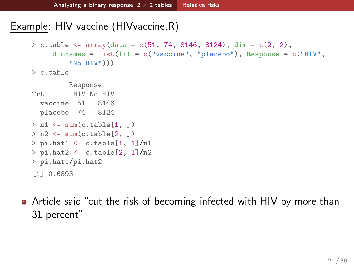## <span id="page-20-0"></span>Example: HIV vaccine (HIVvaccine.R)

```
> c.table <- array(data = c(51, 74, 8146, 8124), dim = c(2, 2),
     dimnames = list(Trt = c("vaccine", "placebo"), Response = c("HIV","No HIV")))
> c.table
```

```
Response
Trt. HIV No HIV
  vaccine 51 8146
 placebo 74 8124
> n1 \leq -sum(c.table[1, 1])> n2 \leq sum(c.table[2, ])
> pi.hat1 < -c.table[1, 1]/n1> pi.hat2 <- c.table[2, 1]/n2> pi.hat1/pi.hat2
[1] 0.6893
```
Article said "cut the risk of becoming infected with HIV by more than 31 percent"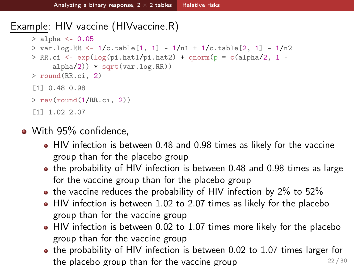## <span id="page-21-0"></span>Example: HIV vaccine (HIVvaccine.R)

```
> alpha <- 0.05
> var.log.RR <- 1/c.table[1, 1] - 1/n1 + 1/c.table[2, 1] - 1/n2> RR.ci <- exp(log(pi.hat1/pi.hat2) + qnorm(p = c(alpha/2, 1 -alpha/2)) * sqrt(var.log.RR))
> round(RR.ci, 2)
[1] 0.48 0.98
> rev(round(1/RR.ci, 2))
[1] 1.02 2.07
```
- With 95% confidence.
	- HIV infection is between 0.48 and 0.98 times as likely for the vaccine group than for the placebo group
	- the probability of HIV infection is between 0.48 and 0.98 times as large for the vaccine group than for the placebo group
	- $\bullet$  the vaccine reduces the probability of HIV infection by 2% to 52%
	- HIV infection is between 1.02 to 2.07 times as likely for the placebo group than for the vaccine group
	- HIV infection is between 0.02 to 1.07 times more likely for the placebo group than for the vaccine group
	- the probability of HIV infection is between 0.02 to 1.07 times larger for the placebo group than for the vaccine group  $22/30$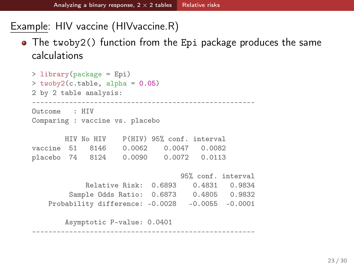<span id="page-22-0"></span>Example: HIV vaccine (HIVvaccine.R)

The twoby2() function from the Epi package produces the same calculations

```
> library(package = Epi)
> twoby2(c.table, alpha = 0.05)
2 by 2 table analysis:
------------------------------------------------------
Outcome : HIV
Comparing : vaccine vs. placebo
       HIV No HIV P(HIV) 95% conf. interval
vaccine 51 8146 0.0062 0.0047 0.0082
placebo 74 8124 0.0090 0.0072 0.0113
                                 95% conf. interval
            Relative Risk: 0.6893 0.4831 0.9834
        Sample Odds Ratio: 0.6873 0.4805 0.9832
   Probability difference: -0.0028 -0.0055 -0.0001
       Asymptotic P-value: 0.0401
```
------------------------------------------------------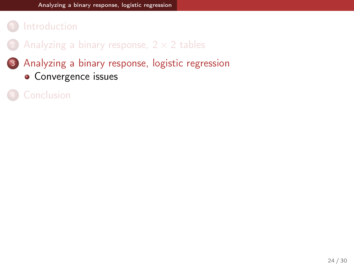#### <span id="page-23-0"></span>**[Introduction](#page-1-0)**

- Analyzing a binary response,  $2 \times 2$  tables
- 3 [Analyzing a binary response, logistic regression](#page-23-0)
	- [Convergence issues](#page-24-0)
-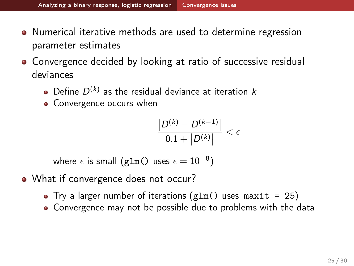- <span id="page-24-0"></span>• Numerical iterative methods are used to determine regression parameter estimates
- Convergence decided by looking at ratio of successive residual deviances
	- Define  $D^{(k)}$  as the residual deviance at iteration  $k$
	- Convergence occurs when

$$
\frac{|D^{(k)} - D^{(k-1)}|}{0.1 + |D^{(k)}|} < \epsilon
$$

where  $\epsilon$  is small (g1m() uses  $\epsilon=10^{-8})$ 

- What if convergence does not occur?
	- Try a larger number of iterations  $glm()$  uses maxit = 25)
	- Convergence may not be possible due to problems with the data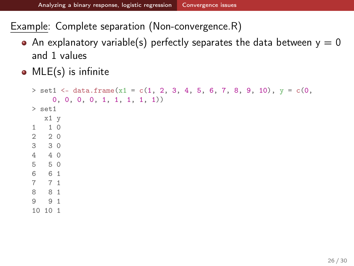<span id="page-25-0"></span>Example: Complete separation (Non-convergence.R)

- An explanatory variable(s) perfectly separates the data between  $y = 0$ and 1 values
- MLE(s) is infinite

```
> set1 <- data.frame(x1 = c(1, 2, 3, 4, 5, 6, 7, 8, 9, 10), y = c(0,0, 0, 0, 0, 1, 1, 1, 1, 1))
> set1
  x1 y
1 1 0
2 2 0
3 3 0
4 4 0
5 5 0
6 6 1
7 7 1
8 8 1
9 9 1
10 10 1
```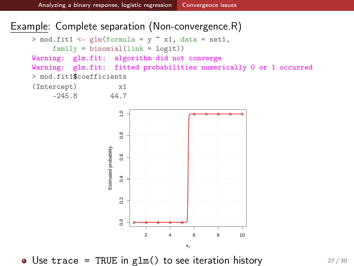#### <span id="page-26-0"></span>Example: Complete separation (Non-convergence.R)

 $0.4$ 

 $\overline{2}$ 

 $\overline{0}$ 

```
> mod.fit1 <- glm(formula = y \tilde{ } x1, data = set1,
      family = binomial(link = logit))Warning: glm.fit: algorithm did not converge
Warning: glm.fit: fitted probabilities numerically 0 or 1 occurred
> mod.fit1$coefficients
(Intercept) x1
     -245.8 44.7
                          \frac{0}{1}0.0 0.2 0.4 0.6 0.8 1.0
                                                ● ● ● ● ●
                          0.8Estimated probability
                       Estimated probability
                          0.6
```


<del>о о о о е</del>

2 4 6 8 10

x1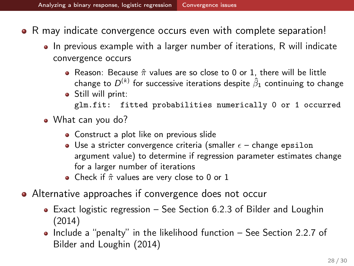- <span id="page-27-0"></span>• R may indicate convergence occurs even with complete separation!
	- In previous example with a larger number of iterations, R will indicate convergence occurs
		- Reason: Because  $\hat{\pi}$  values are so close to 0 or 1, there will be little change to  $D^{(k)}$  for successive iterations despite  $\hat{\beta}_1$  continuing to change **•** Still will print:
			- glm.fit: fitted probabilities numerically 0 or 1 occurred
	- What can you do?
		- Construct a plot like on previous slide
		- Use a stricter convergence criteria (smaller  $\epsilon$  change epsilon argument value) to determine if regression parameter estimates change for a larger number of iterations
		- Check if  $\hat{\pi}$  values are very close to 0 or 1
- Alternative approaches if convergence does not occur
	- Exact logistic regression See Section 6.2.3 of Bilder and Loughin (2014)
	- $\bullet$  Include a "penalty" in the likelihood function  $-$  See Section 2.2.7 of Bilder and Loughin (2014)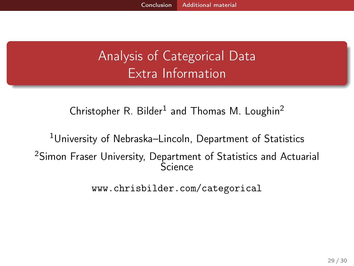# <span id="page-28-0"></span>Analysis of Categorical Data Extra Information

Christopher R. Bilder<sup>1</sup> and Thomas M. Loughin<sup>2</sup>

<sup>1</sup>University of Nebraska–Lincoln, Department of Statistics <sup>2</sup>Simon Fraser University, Department of Statistics and Actuarial Science

<www.chrisbilder.com/categorical>